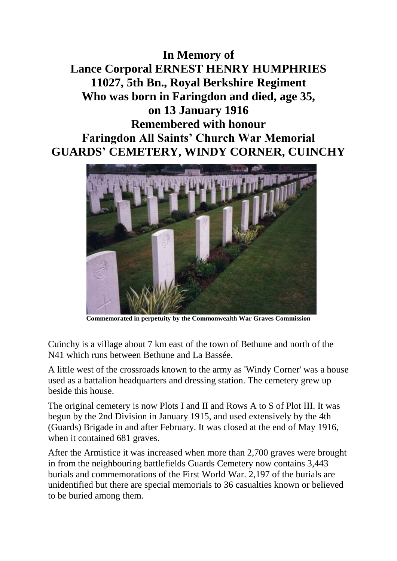**In Memory of Lance Corporal ERNEST HENRY HUMPHRIES 11027, 5th Bn., Royal Berkshire Regiment Who was born in Faringdon and died, age 35, on 13 January 1916 Remembered with honour Faringdon All Saints' Church War Memorial GUARDS' CEMETERY, WINDY CORNER, CUINCHY**



**Commemorated in perpetuity by the Commonwealth War Graves Commission** 

Cuinchy is a village about 7 km east of the town of Bethune and north of the N41 which runs between Bethune and La Bassée.

A little west of the crossroads known to the army as 'Windy Corner' was a house used as a battalion headquarters and dressing station. The cemetery grew up beside this house.

The original cemetery is now Plots I and II and Rows A to S of Plot III. It was begun by the 2nd Division in January 1915, and used extensively by the 4th (Guards) Brigade in and after February. It was closed at the end of May 1916, when it contained 681 graves.

After the Armistice it was increased when more than 2,700 graves were brought in from the neighbouring battlefields Guards Cemetery now contains 3,443 burials and commemorations of the First World War. 2,197 of the burials are unidentified but there are special memorials to 36 casualties known or believed to be buried among them.